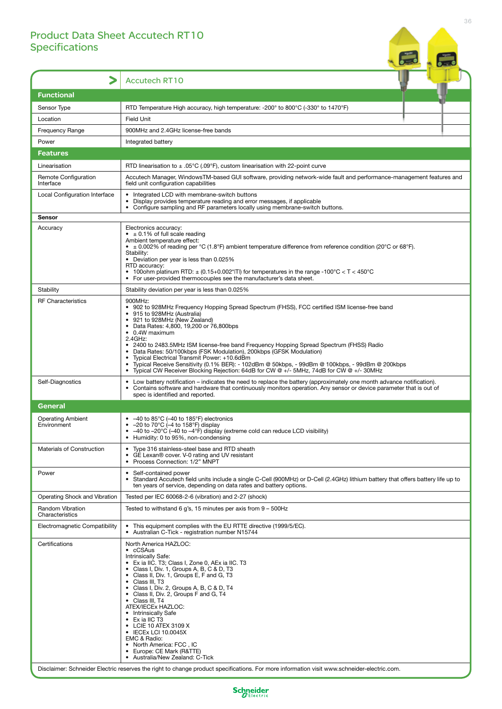## Product Data Sheet Accutech RT10 Specifications

|                                                                                                                                            | <b>Accutech RT10</b>                                                                                                                                                                                                                                                                                                                                                                                                                                                                                                                                                                                                                                                   |  |
|--------------------------------------------------------------------------------------------------------------------------------------------|------------------------------------------------------------------------------------------------------------------------------------------------------------------------------------------------------------------------------------------------------------------------------------------------------------------------------------------------------------------------------------------------------------------------------------------------------------------------------------------------------------------------------------------------------------------------------------------------------------------------------------------------------------------------|--|
| <b>Functional</b>                                                                                                                          |                                                                                                                                                                                                                                                                                                                                                                                                                                                                                                                                                                                                                                                                        |  |
| Sensor Type                                                                                                                                | RTD Temperature High accuracy, high temperature: -200° to 800°C (-330° to 1470°F)                                                                                                                                                                                                                                                                                                                                                                                                                                                                                                                                                                                      |  |
| Location                                                                                                                                   | <b>Field Unit</b>                                                                                                                                                                                                                                                                                                                                                                                                                                                                                                                                                                                                                                                      |  |
| <b>Frequency Range</b>                                                                                                                     | 900MHz and 2.4GHz license-free bands                                                                                                                                                                                                                                                                                                                                                                                                                                                                                                                                                                                                                                   |  |
| Power                                                                                                                                      | Integrated battery                                                                                                                                                                                                                                                                                                                                                                                                                                                                                                                                                                                                                                                     |  |
| <b>Features</b>                                                                                                                            |                                                                                                                                                                                                                                                                                                                                                                                                                                                                                                                                                                                                                                                                        |  |
| Linearisation                                                                                                                              | RTD linearisation to $\pm$ .05°C (.09°F), custom linearisation with 22-point curve                                                                                                                                                                                                                                                                                                                                                                                                                                                                                                                                                                                     |  |
| Remote Configuration<br>Interface                                                                                                          | Accutech Manager, WindowsTM-based GUI software, providing network-wide fault and performance-management features and<br>field unit configuration capabilities                                                                                                                                                                                                                                                                                                                                                                                                                                                                                                          |  |
| Local Configuration Interface                                                                                                              | Integrated LCD with membrane-switch buttons<br>Display provides temperature reading and error messages, if applicable<br>$\bullet$<br>Configure sampling and RF parameters locally using membrane-switch buttons.                                                                                                                                                                                                                                                                                                                                                                                                                                                      |  |
| <b>Sensor</b>                                                                                                                              |                                                                                                                                                                                                                                                                                                                                                                                                                                                                                                                                                                                                                                                                        |  |
| Accuracy                                                                                                                                   | Electronics accuracy:<br>$\pm$ 0.1% of full scale reading<br>Ambient temperature effect:<br>• $\pm$ 0.002% of reading per °C (1.8°F) ambient temperature difference from reference condition (20°C or 68°F).<br>Stability:<br>• Deviation per year is less than 0.025%<br>RTD accuracy:<br>• 100ohm platinum RTD: $\pm$ (0.15+0.002*ITI) for temperatures in the range -100°C < T < 450°C<br>• For user-provided thermocouples see the manufacturer's data sheet.                                                                                                                                                                                                      |  |
| Stability                                                                                                                                  | Stability deviation per year is less than 0.025%                                                                                                                                                                                                                                                                                                                                                                                                                                                                                                                                                                                                                       |  |
| <b>RF Characteristics</b>                                                                                                                  | 900MHz:<br>• 902 to 928MHz Frequency Hopping Spread Spectrum (FHSS), FCC certified ISM license-free band<br>• 915 to 928MHz (Australia)<br>• 921 to 928MHz (New Zealand)<br>• Data Rates: 4,800, 19,200 or 76,800bps<br>• 0.4W maximum<br>2.4GHz:<br>• 2400 to 2483.5MHz ISM license-free band Frequency Hopping Spread Spectrum (FHSS) Radio<br>• Data Rates: 50/100kbps (FSK Modulation), 200kbps (GFSK Modulation)<br>• Typical Electrical Transmit Power: +10.6dBm<br>• Typical Receive Sensitivity (0.1% BER): - 102dBm @ 50kbps, - 99dBm @ 100kbps, - 99dBm @ 200kbps<br>Typical CW Receiver Blocking Rejection: 64dB for CW @ +/- 5MHz, 74dB for CW @ +/- 30MHz |  |
| Self-Diagnostics                                                                                                                           | Low battery notification – indicates the need to replace the battery (approximately one month advance notification).<br>Contains software and hardware that continuously monitors operation. Any sensor or device parameter that is out of<br>$\bullet$<br>spec is identified and reported.                                                                                                                                                                                                                                                                                                                                                                            |  |
| General                                                                                                                                    |                                                                                                                                                                                                                                                                                                                                                                                                                                                                                                                                                                                                                                                                        |  |
| <b>Operating Ambient</b><br>Environment                                                                                                    | $-40$ to 85°C (-40 to 185°F) electronics<br>$-20$ to 70 $\degree$ C (-4 to 158 $\degree$ F) display<br>$-40$ to $-20^{\circ}$ C (-40 to $-4^{\circ}$ F) display (extreme cold can reduce LCD visibility)<br>• Humidity: 0 to 95%, non-condensing                                                                                                                                                                                                                                                                                                                                                                                                                       |  |
| <b>Materials of Construction</b>                                                                                                           | • Type 316 stainless-steel base and RTD sheath<br>GE Lexan® cover. V-0 rating and UV resistant<br>Process Connection: 1/2" MNPT                                                                                                                                                                                                                                                                                                                                                                                                                                                                                                                                        |  |
| Power                                                                                                                                      | Self-contained power<br>Standard Accutech field units include a single C-Cell (900MHz) or D-Cell (2.4GHz) lithium battery that offers battery life up to<br>$\bullet$<br>ten years of service, depending on data rates and battery options.                                                                                                                                                                                                                                                                                                                                                                                                                            |  |
| Operating Shock and Vibration                                                                                                              | Tested per IEC 60068-2-6 (vibration) and 2-27 (shock)                                                                                                                                                                                                                                                                                                                                                                                                                                                                                                                                                                                                                  |  |
| Random Vibration<br>Characteristics                                                                                                        | Tested to withstand 6 g's, 15 minutes per axis from $9 - 500$ Hz                                                                                                                                                                                                                                                                                                                                                                                                                                                                                                                                                                                                       |  |
| Electromagnetic Compatibility                                                                                                              | This equipment complies with the EU RTTE directive (1999/5/EC).<br>Australian C-Tick - registration number N15744                                                                                                                                                                                                                                                                                                                                                                                                                                                                                                                                                      |  |
| Certifications                                                                                                                             | North America HAZLOC:<br>• cCSAus<br>Intrinsically Safe:<br>• Ex ia IIC. T3; Class I, Zone 0, AEx ia IIC. T3<br>• Class I, Div. 1, Groups A, B, C & D, T3<br>• Class II, Div. 1, Groups E, F and G, T3<br>• Class III, T3<br>• Class I, Div. 2, Groups A, B, C & D, T4<br>• Class II, Div. 2, Groups F and G, T4<br>• Class III, T4<br>ATEX/IECEx HAZLOC:<br>• Intrinsically Safe<br>$\bullet$ ExiallCT3<br>• LCIE 10 ATEX 3109 X<br>• IECEx LCI 10.0045X<br>EMC & Radio:<br>• North America: FCC, IC<br>• Europe: CE Mark (R&TTE)<br>• Australia/New Zealand: C-Tick                                                                                                  |  |
| Disclaimer: Schneider Electric reserves the right to change product specifications. For more information visit www.schneider-electric.com. |                                                                                                                                                                                                                                                                                                                                                                                                                                                                                                                                                                                                                                                                        |  |

 $\blacksquare$ 

 $\overline{\blacksquare}$ 

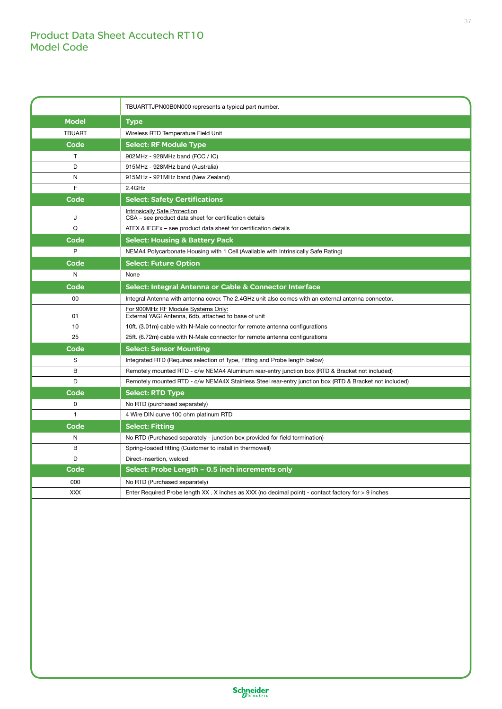## Product Data Sheet Accutech RT10 Model Code

|               | TBUARTTJPN00B0N000 represents a typical part number.                                                   |
|---------------|--------------------------------------------------------------------------------------------------------|
| <b>Model</b>  | <b>Type</b>                                                                                            |
| <b>TBUART</b> | Wireless RTD Temperature Field Unit                                                                    |
| Code          | <b>Select: RF Module Type</b>                                                                          |
| T             | 902MHz - 928MHz band (FCC / IC)                                                                        |
| D             | 915MHz - 928MHz band (Australia)                                                                       |
| N             | 915MHz - 921MHz band (New Zealand)                                                                     |
| F             | 2.4GHz                                                                                                 |
| Code          | <b>Select: Safety Certifications</b>                                                                   |
| J             | Intrinsically Safe Protection<br>CSA – see product data sheet for certification details                |
| Q             | ATEX & IECEx - see product data sheet for certification details                                        |
| Code          | <b>Select: Housing &amp; Battery Pack</b>                                                              |
| P             | NEMA4 Polycarbonate Housing with 1 Cell (Available with Intrinsically Safe Rating)                     |
| Code          | <b>Select: Future Option</b>                                                                           |
| N             | None                                                                                                   |
| Code          | Select: Integral Antenna or Cable & Connector Interface                                                |
| 00            | Integral Antenna with antenna cover. The 2.4GHz unit also comes with an external antenna connector.    |
| 01            | For 900MHz RF Module Systems Only:<br>External YAGI Antenna, 6db, attached to base of unit             |
| 10            | 10ft. (3.01m) cable with N-Male connector for remote antenna configurations                            |
| 25            | 25ft. (6.72m) cable with N-Male connector for remote antenna configurations                            |
| Code          | <b>Select: Sensor Mounting</b>                                                                         |
| S             | Integrated RTD (Requires selection of Type, Fitting and Probe length below)                            |
| В             | Remotely mounted RTD - c/w NEMA4 Aluminum rear-entry junction box (RTD & Bracket not included)         |
| D             | Remotely mounted RTD - c/w NEMA4X Stainless Steel rear-entry junction box (RTD & Bracket not included) |
| Code          | <b>Select: RTD Type</b>                                                                                |
| 0             | No RTD (purchased separately)                                                                          |
| $\mathbf{1}$  | 4 Wire DIN curve 100 ohm platinum RTD                                                                  |
| Code          | <b>Select: Fitting</b>                                                                                 |
| N             | No RTD (Purchased separately - junction box provided for field termination)                            |
| B             | Spring-loaded fitting (Customer to install in thermowell)                                              |
| D             | Direct-insertion, welded                                                                               |
| Code          | Select: Probe Length – 0.5 inch increments only                                                        |
| 000           | No RTD (Purchased separately)                                                                          |
| <b>XXX</b>    | Enter Required Probe length XX . X inches as XXX (no decimal point) - contact factory for > 9 inches   |